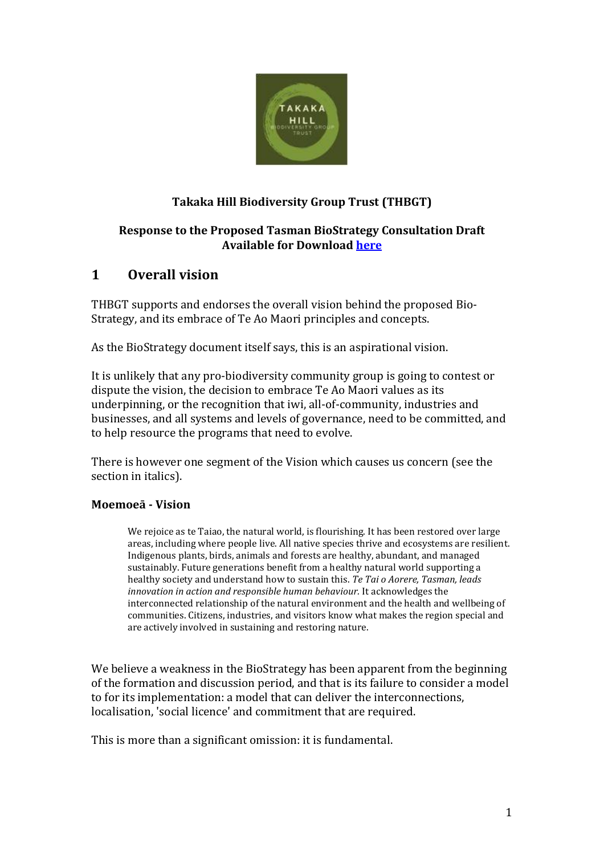

## **Takaka Hill Biodiversity Group Trust (THBGT)**

#### **Response to the Proposed Tasman BioStrategy Consultation Draft Available for Download [here](https://www.tasman.govt.nz/my-region/environment/environmental-management/biodiversity/a-bio-strategy-for-tasman/)**

# **1 Overall vision**

THBGT supports and endorses the overall vision behind the proposed Bio-Strategy, and its embrace of Te Ao Maori principles and concepts.

As the BioStrategy document itself says, this is an aspirational vision.

It is unlikely that any pro-biodiversity community group is going to contest or dispute the vision, the decision to embrace Te Ao Maori values as its underpinning, or the recognition that iwi, all-of-community, industries and businesses, and all systems and levels of governance, need to be committed, and to help resource the programs that need to evolve.

There is however one segment of the Vision which causes us concern (see the section in italics).

#### **Moemoeā - Vision**

We rejoice as te Taiao, the natural world, is flourishing. It has been restored over large areas, including where people live. All native species thrive and ecosystems are resilient. Indigenous plants, birds, animals and forests are healthy, abundant, and managed sustainably. Future generations benefit from a healthy natural world supporting a healthy society and understand how to sustain this. *Te Tai o Aorere, Tasman, leads innovation in action and responsible human behaviour.* It acknowledges the interconnected relationship of the natural environment and the health and wellbeing of communities. Citizens, industries, and visitors know what makes the region special and are actively involved in sustaining and restoring nature.

We believe a weakness in the BioStrategy has been apparent from the beginning of the formation and discussion period, and that is its failure to consider a model to for its implementation: a model that can deliver the interconnections, localisation, 'social licence' and commitment that are required.

This is more than a significant omission: it is fundamental.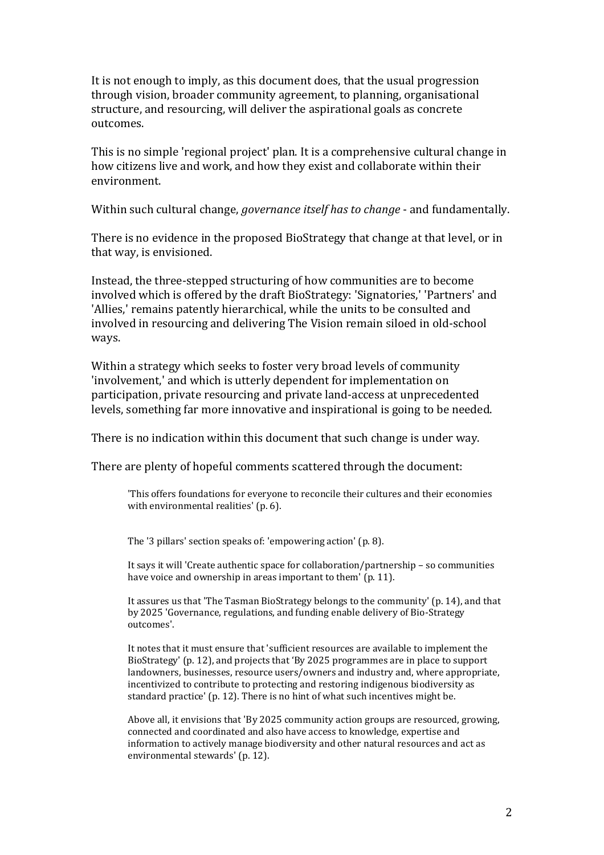It is not enough to imply, as this document does, that the usual progression through vision, broader community agreement, to planning, organisational structure, and resourcing, will deliver the aspirational goals as concrete outcomes.

This is no simple 'regional project' plan. It is a comprehensive cultural change in how citizens live and work, and how they exist and collaborate within their environment.

Within such cultural change, *governance itself has to change* - and fundamentally.

There is no evidence in the proposed BioStrategy that change at that level, or in that way, is envisioned.

Instead, the three-stepped structuring of how communities are to become involved which is offered by the draft BioStrategy: 'Signatories,' 'Partners' and 'Allies,' remains patently hierarchical, while the units to be consulted and involved in resourcing and delivering The Vision remain siloed in old-school ways.

Within a strategy which seeks to foster very broad levels of community 'involvement,' and which is utterly dependent for implementation on participation, private resourcing and private land-access at unprecedented levels, something far more innovative and inspirational is going to be needed.

There is no indication within this document that such change is under way.

There are plenty of hopeful comments scattered through the document:

'This offers foundations for everyone to reconcile their cultures and their economies with environmental realities' (p. 6).

The '3 pillars' section speaks of: 'empowering action' (p. 8).

It says it will 'Create authentic space for collaboration/partnership – so communities have voice and ownership in areas important to them' (p. 11).

It assures us that 'The Tasman BioStrategy belongs to the community' (p. 14), and that by 2025 'Governance, regulations, and funding enable delivery of Bio-Strategy outcomes'.

It notes that it must ensure that 'sufficient resources are available to implement the BioStrategy' (p. 12), and projects that 'By 2025 programmes are in place to support landowners, businesses, resource users/owners and industry and, where appropriate, incentivized to contribute to protecting and restoring indigenous biodiversity as standard practice' (p. 12). There is no hint of what such incentives might be.

Above all, it envisions that 'By 2025 community action groups are resourced, growing, connected and coordinated and also have access to knowledge, expertise and information to actively manage biodiversity and other natural resources and act as environmental stewards' (p. 12).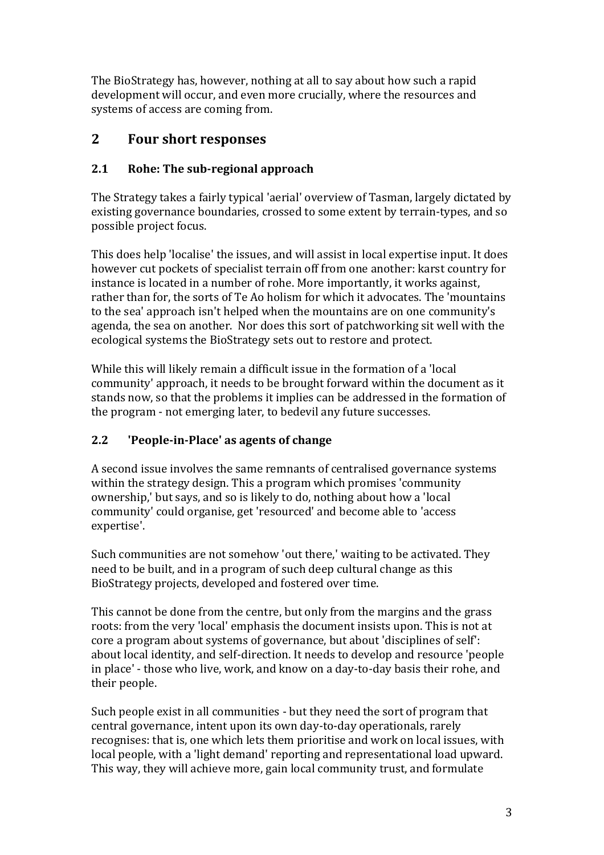The BioStrategy has, however, nothing at all to say about how such a rapid development will occur, and even more crucially, where the resources and systems of access are coming from.

# **2 Four short responses**

#### **2.1 Rohe: The sub-regional approach**

The Strategy takes a fairly typical 'aerial' overview of Tasman, largely dictated by existing governance boundaries, crossed to some extent by terrain-types, and so possible project focus.

This does help 'localise' the issues, and will assist in local expertise input. It does however cut pockets of specialist terrain off from one another: karst country for instance is located in a number of rohe. More importantly, it works against, rather than for, the sorts of Te Ao holism for which it advocates. The 'mountains to the sea' approach isn't helped when the mountains are on one community's agenda, the sea on another. Nor does this sort of patchworking sit well with the ecological systems the BioStrategy sets out to restore and protect.

While this will likely remain a difficult issue in the formation of a 'local community' approach, it needs to be brought forward within the document as it stands now, so that the problems it implies can be addressed in the formation of the program - not emerging later, to bedevil any future successes.

### **2.2 'People-in-Place' as agents of change**

A second issue involves the same remnants of centralised governance systems within the strategy design. This a program which promises 'community ownership,' but says, and so is likely to do, nothing about how a 'local community' could organise, get 'resourced' and become able to 'access expertise'.

Such communities are not somehow 'out there,' waiting to be activated. They need to be built, and in a program of such deep cultural change as this BioStrategy projects, developed and fostered over time.

This cannot be done from the centre, but only from the margins and the grass roots: from the very 'local' emphasis the document insists upon. This is not at core a program about systems of governance, but about 'disciplines of self': about local identity, and self-direction. It needs to develop and resource 'people in place' - those who live, work, and know on a day-to-day basis their rohe, and their people.

Such people exist in all communities - but they need the sort of program that central governance, intent upon its own day-to-day operationals, rarely recognises: that is, one which lets them prioritise and work on local issues, with local people, with a 'light demand' reporting and representational load upward. This way, they will achieve more, gain local community trust, and formulate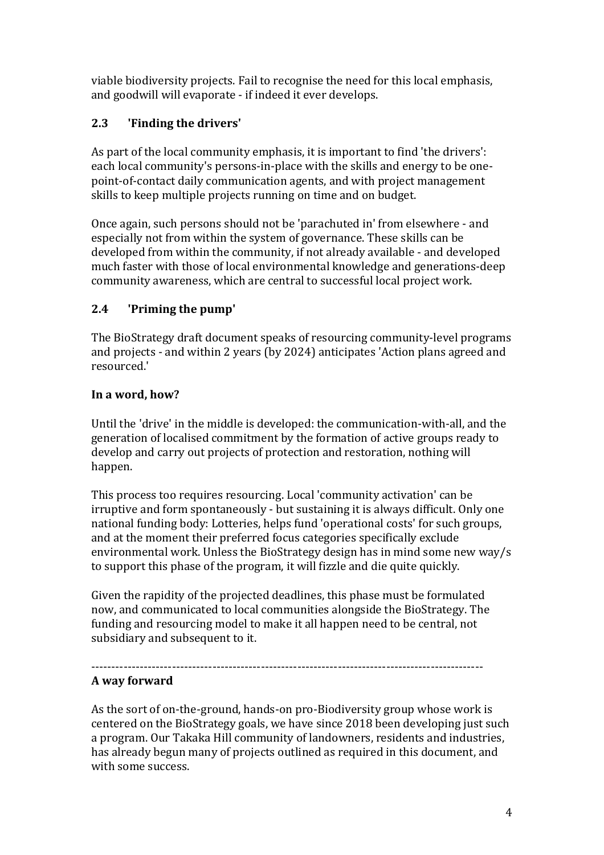viable biodiversity projects. Fail to recognise the need for this local emphasis, and goodwill will evaporate - if indeed it ever develops.

## **2.3 'Finding the drivers'**

As part of the local community emphasis, it is important to find 'the drivers': each local community's persons-in-place with the skills and energy to be onepoint-of-contact daily communication agents, and with project management skills to keep multiple projects running on time and on budget.

Once again, such persons should not be 'parachuted in' from elsewhere - and especially not from within the system of governance. These skills can be developed from within the community, if not already available - and developed much faster with those of local environmental knowledge and generations-deep community awareness, which are central to successful local project work.

### **2.4 'Priming the pump'**

The BioStrategy draft document speaks of resourcing community-level programs and projects - and within 2 years (by 2024) anticipates 'Action plans agreed and resourced.'

### **In a word, how?**

Until the 'drive' in the middle is developed: the communication-with-all, and the generation of localised commitment by the formation of active groups ready to develop and carry out projects of protection and restoration, nothing will happen.

This process too requires resourcing. Local 'community activation' can be irruptive and form spontaneously - but sustaining it is always difficult. Only one national funding body: Lotteries, helps fund 'operational costs' for such groups, and at the moment their preferred focus categories specifically exclude environmental work. Unless the BioStrategy design has in mind some new way/s to support this phase of the program, it will fizzle and die quite quickly.

Given the rapidity of the projected deadlines, this phase must be formulated now, and communicated to local communities alongside the BioStrategy. The funding and resourcing model to make it all happen need to be central, not subsidiary and subsequent to it.

#### ------------------------------------------------------------------------------------------------- **A way forward**

As the sort of on-the-ground, hands-on pro-Biodiversity group whose work is centered on the BioStrategy goals, we have since 2018 been developing just such a program. Our Takaka Hill community of landowners, residents and industries, has already begun many of projects outlined as required in this document, and with some success.